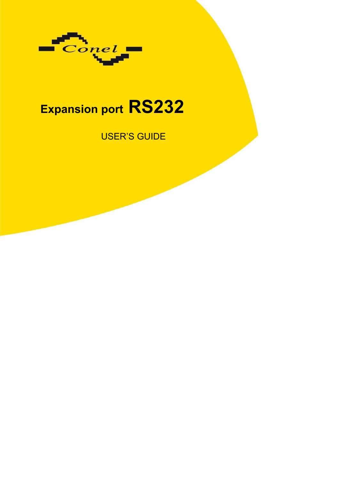

# **Expansion port RS232**

## USER'S GUIDE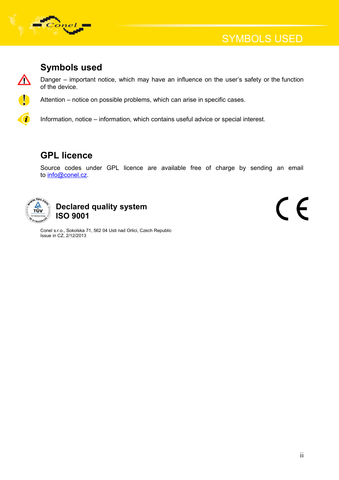

 $\bigwedge$ 

O

 $\overline{\mathbf{a}}$ 

## **Symbols used**

Danger – important notice, which may have an influence on the user's safety or the function of the device.

Attention – notice on possible problems, which can arise in specific cases.

Information, notice – information, which contains useful advice or special interest.

## **GPL licence**

Issue in CZ, 2/12/2013

Source codes under GPL licence are available free of charge by sending an email to [info@conel.cz.](mailto:info@conel.cz)



Conel s.r.o., Sokolska 71, 562 04 Usti nad Orlici, Czech Republic

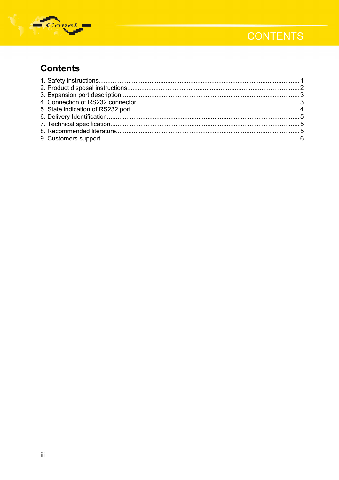

## **CONTENTS**

## **Contents**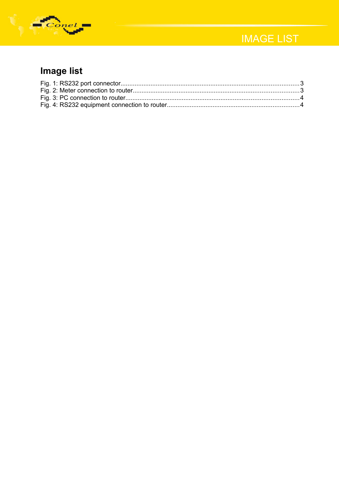

## IMAGE LIST

## **Image list**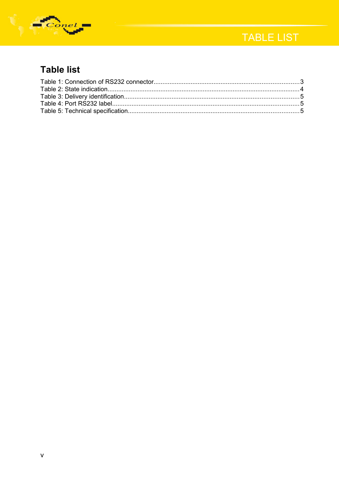

## TABLE LIST

## **Table list**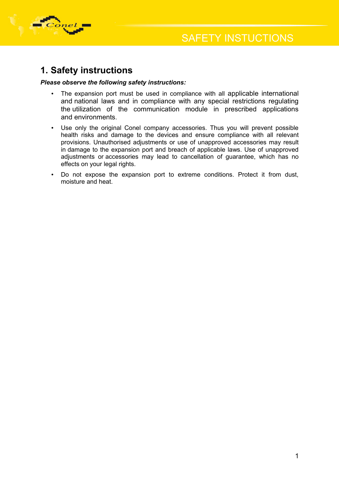



## **1. Safety instructions**

#### *Please observe the following safety instructions:*

- The expansion port must be used in compliance with all applicable international and national laws and in compliance with any special restrictions regulating the utilization of the communication module in prescribed applications and environments.
- Use only the original Conel company accessories. Thus you will prevent possible health risks and damage to the devices and ensure compliance with all relevant provisions. Unauthorised adjustments or use of unapproved accessories may result in damage to the expansion port and breach of applicable laws. Use of unapproved adjustments or accessories may lead to cancellation of guarantee, which has no effects on your legal rights.
- Do not expose the expansion port to extreme conditions. Protect it from dust, moisture and heat.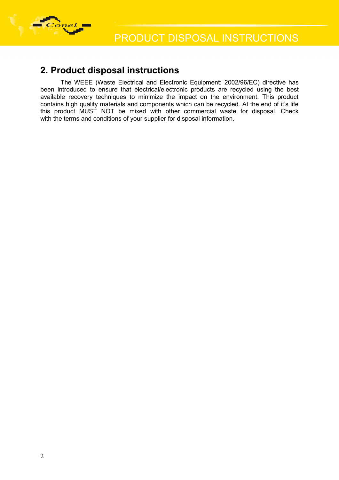

### **2. Product disposal instructions**

The WEEE (Waste Electrical and Electronic Equipment: 2002/96/EC) directive has been introduced to ensure that electrical/electronic products are recycled using the best available recovery techniques to minimize the impact on the environment. This product contains high quality materials and components which can be recycled. At the end of it's life this product MUST NOT be mixed with other commercial waste for disposal. Check with the terms and conditions of your supplier for disposal information.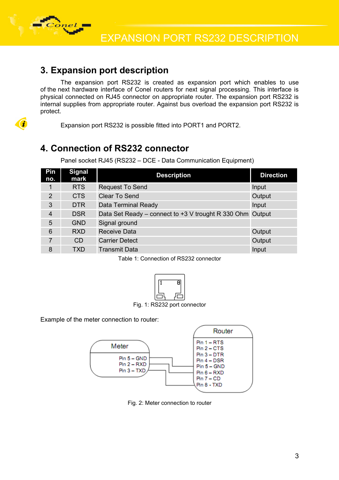

EXPANSION PORT RS232 DESCRIPTION

## **3. Expansion port description**

The expansion port RS232 is created as expansion port which enables to use of the next hardware interface of Conel routers for next signal processing. This interface is physical connected on RJ45 connector on appropriate router. The expansion port RS232 is internal supplies from appropriate router. Against bus overload the expansion port RS232 is protect.

 $\left( \mathbf{i}\right)$ 

Expansion port RS232 is possible fitted into PORT1 and PORT2.

## **4. Connection of RS232 connector**

Panel socket RJ45 (RS232 – DCE - Data Communication Equipment)

| Pin<br>no. | <b>Signal</b><br>mark | <b>Description</b>                                        | <b>Direction</b> |
|------------|-----------------------|-----------------------------------------------------------|------------------|
|            | <b>RTS</b>            | <b>Request To Send</b>                                    | Input            |
| 2          | <b>CTS</b>            | <b>Clear To Send</b>                                      | Output           |
| 3          | <b>DTR</b>            | Data Terminal Ready                                       | Input            |
| 4          | <b>DSR</b>            | Data Set Ready – connect to +3 V trought R 330 Ohm Output |                  |
| 5          | <b>GND</b>            | Signal ground                                             |                  |
| 6          | <b>RXD</b>            | <b>Receive Data</b>                                       | Output           |
| 7          | CD                    | <b>Carrier Detect</b>                                     | Output           |
| 8          | TXD                   | <b>Transmit Data</b>                                      | Input            |

Table 1: Connection of RS232 connector



Fig. 1: RS232 port connector

Example of the meter connection to router:



Fig. 2: Meter connection to router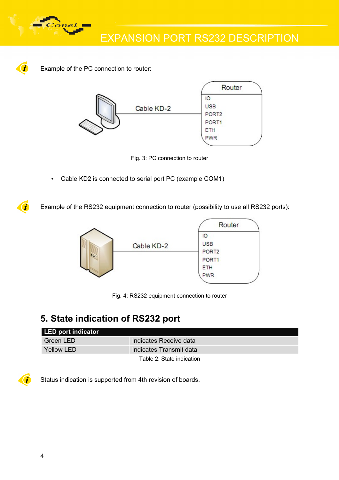

EXPANSION PORT RS232 DESCRIPTION

Example of the PC connection to router:



Fig. 3: PC connection to router

• Cable KD2 is connected to serial port PC (example COM1)

Example of the RS232 equipment connection to router (possibility to use all RS232 ports):



Fig. 4: RS232 equipment connection to router

## **5. State indication of RS232 port**

| <b>LED port indicator</b> |                           |
|---------------------------|---------------------------|
| Green LED                 | Indicates Receive data    |
| Yellow LED                | Indicates Transmit data   |
|                           | Table 2: State indication |



Status indication is supported from 4th revision of boards.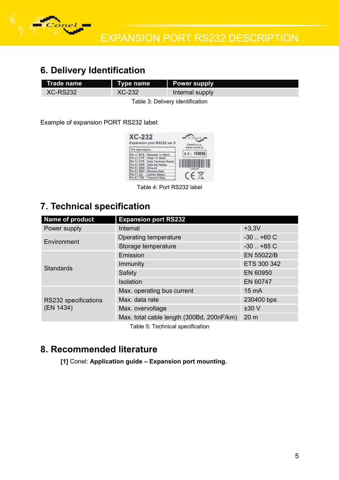

## **6. Delivery Identification**

| Trade name      | Type name     | <b>Power supply</b> |
|-----------------|---------------|---------------------|
| <b>XC-RS232</b> | <b>XC-232</b> | Internal supply     |

Table 3: Delivery identification

Example of expansion PORT RS232 label:

| <b>XC-232</b>    |                 | Expansion port RS232 ver.5 | Conel<br>Conel s.r.o. |
|------------------|-----------------|----------------------------|-----------------------|
|                  | Pin descritpion |                            | www.conel.cz          |
| Pin 1            | <b>RTS</b>      | <b>Request To Send</b>     | s.n.: 109695          |
| Pin <sub>2</sub> | <b>CTS</b>      | <b>Clear To Send</b>       |                       |
| Pin <sub>3</sub> | <b>DTR</b>      | <b>Data Terminal Ready</b> |                       |
| Pin 4            | <b>DSR</b>      | <b>Data Set Ready</b>      |                       |
| Pin 5            | <b>GND</b>      | Ground                     | 109695                |
| Pin <sub>6</sub> | <b>RXD</b>      | <b>Receive Data</b>        |                       |
| Pin 7            | CD              | <b>Carrier Detect</b>      |                       |
| Pin <sub>8</sub> | <b>TXD</b>      | <b>Transmit Data</b>       |                       |

Table 4: Port RS232 label

## **7. Technical specification**

| Name of product      | <b>Expansion port RS232</b>               |                 |
|----------------------|-------------------------------------------|-----------------|
| Power supply         | Internal                                  | $+3,3V$         |
| Environment          | Operating temperature                     | $-30$ $+60$ C   |
|                      | Storage temperature                       | $-30$ $+85$ C   |
|                      | Emission                                  | EN 55022/B      |
| <b>Standards</b>     | Immunity                                  | ETS 300 342     |
|                      | Safety                                    | EN 60950        |
|                      | Isolation                                 | EN 60747        |
|                      | Max. operating bus current                | 15 mA           |
| RS232 specifications | Max. data rate                            | 230400 bps      |
| (EN 1434)            | Max. overvoltage                          | ±30V            |
|                      | Max. total cable length (300Bd, 200nF/km) | 20 <sub>m</sub> |
|                      | Toble E: Toobnical openification          |                 |

Table 5: Technical specification

## **8. Recommended literature**

**[1]** Conel: **Application guide – Expansion port mounting.**